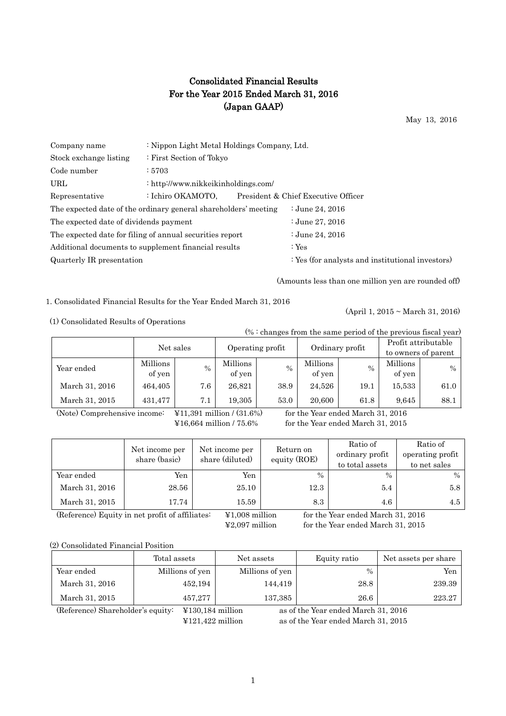## Consolidated Financial Results For the Year 2015 Ended March 31, 2016 (Japan GAAP)

May 13, 2016

| Company name                           | : Nippon Light Metal Holdings Company, Ltd.                     |                                                  |  |  |  |  |
|----------------------------------------|-----------------------------------------------------------------|--------------------------------------------------|--|--|--|--|
| Stock exchange listing                 | : First Section of Tokyo                                        |                                                  |  |  |  |  |
| Code number                            | :5703                                                           |                                                  |  |  |  |  |
| URL                                    | : http://www.nikkeikinholdings.com/                             |                                                  |  |  |  |  |
| Representative                         | : Ichiro OKAMOTO.                                               | President & Chief Executive Officer              |  |  |  |  |
|                                        | The expected date of the ordinary general shareholders' meeting | : June 24, $2016$                                |  |  |  |  |
| The expected date of dividends payment |                                                                 | : June 27, 2016                                  |  |  |  |  |
|                                        | The expected date for filing of annual securities report        | : June 24, 2016                                  |  |  |  |  |
|                                        | Additional documents to supplement financial results            | : $Yes$                                          |  |  |  |  |
| Quarterly IR presentation              |                                                                 | : Yes (for analysts and institutional investors) |  |  |  |  |
|                                        |                                                                 |                                                  |  |  |  |  |

(Amounts less than one million yen are rounded off)

(April 1, 2015 ~ March 31, 2016)

1. Consolidated Financial Results for the Year Ended March 31, 2016

(1) Consolidated Results of Operations

(% : changes from the same period of the previous fiscal year)

|                |          | Net sales |                  | Ordinary profit |          | Profit attributable |                     |      |
|----------------|----------|-----------|------------------|-----------------|----------|---------------------|---------------------|------|
|                |          |           | Operating profit |                 |          |                     | to owners of parent |      |
| Year ended     | Millions | $\%$      | Millions         | $\%$            | Millions | $\%$                | Millions            | $\%$ |
|                | of yen   |           | of yen           |                 | of yen   |                     | of yen              |      |
| March 31, 2016 | 464,405  | 7.6       | 26.821           | 38.9            | 24,526   | 19.1                | 15,533              | 61.0 |
| March 31, 2015 | 431,477  | 7.1       | 19.305           | 53.0            | 20,600   | 61.8                | 9.645               | 88.1 |

(Note) Comprehensive income:  $\angle$  ¥11,391 million / (31.6%) for the Year ended March 31, 2016

¥16,664 million / 75.6% for the Year ended March 31, 2015

|                | Net income per<br>share (basic) | Net income per<br>share (diluted) | Return on<br>equity (ROE) | Ratio of<br>ordinary profit<br>to total assets | Ratio of<br>operating profit<br>to net sales |
|----------------|---------------------------------|-----------------------------------|---------------------------|------------------------------------------------|----------------------------------------------|
| Year ended     | Yen                             | Yen                               | $\%$                      | $\frac{0}{0}$                                  | $\%$                                         |
| March 31, 2016 | 28.56                           | 25.10                             | 12.3                      | 5.4                                            | 5.8                                          |
| March 31, 2015 | 17.74                           | 15.59                             | 8.3                       | 4.6                                            | 4.5                                          |

(Reference) Equity in net profit of affiliates: ¥1,008 million for the Year ended March 31, 2016

¥2,097 million for the Year ended March 31, 2015

(2) Consolidated Financial Position

|                                   | Total assets                          | Net assets      | Equity ratio                        | Net assets per share |
|-----------------------------------|---------------------------------------|-----------------|-------------------------------------|----------------------|
| Year ended                        | Millions of yen                       | Millions of yen | $\frac{0}{0}$                       | Yen                  |
| March 31, 2016                    | 452,194                               | 144,419         | 28.8                                | 239.39               |
| March 31, 2015                    | 457,277                               | 137,385         | 26.6                                | 223.27               |
| (Reference) Shareholder's equity: | $\text{\textsterling}130,184$ million |                 | as of the Year ended March 31, 2016 |                      |

¥121,422 million as of the Year ended March 31, 2015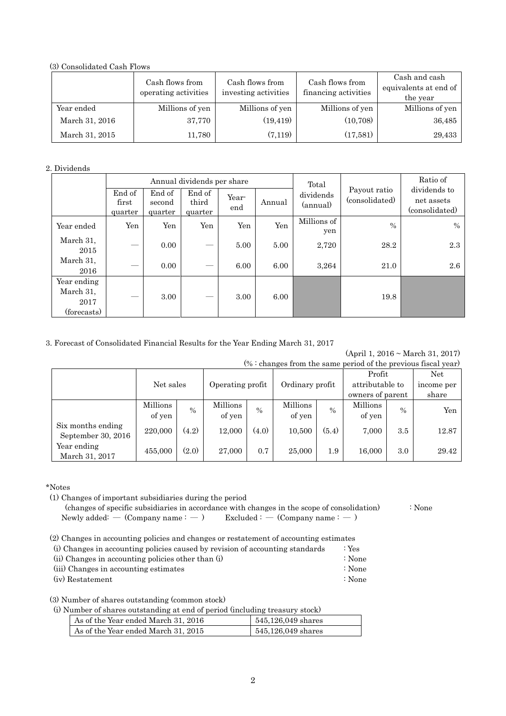(3) Consolidated Cash Flows

|                | Cash flows from<br>operating activities | Cash flows from<br>investing activities | Cash flows from<br>financing activities | Cash and cash<br>equivalents at end of<br>the year |
|----------------|-----------------------------------------|-----------------------------------------|-----------------------------------------|----------------------------------------------------|
| Year ended     | Millions of yen                         | Millions of yen                         | Millions of yen                         | Millions of yen                                    |
| March 31, 2016 | 37,770                                  | (19, 419)                               | (10, 708)                               | 36,485                                             |
| March 31, 2015 | 11,780                                  | (7,119)                                 | (17,581)                                | 29,433                                             |

## 2. Dividends

|                                                 |                                           |                             | Annual dividends per share    |              |        | Total                 |                                | Ratio of                                     |
|-------------------------------------------------|-------------------------------------------|-----------------------------|-------------------------------|--------------|--------|-----------------------|--------------------------------|----------------------------------------------|
|                                                 | End of<br>first<br>quarter                | End of<br>second<br>quarter | End of<br>third<br>quarter    | Year-<br>end | Annual | dividends<br>(annual) | Payout ratio<br>(consolidated) | dividends to<br>net assets<br>(consolidated) |
| Year ended                                      | Yen                                       | Yen                         | Yen                           | Yen          | Yen    | Millions of<br>yen    | $\frac{0}{0}$                  | $\frac{0}{0}$                                |
| March 31,<br>2015                               |                                           | 0.00                        | $\overbrace{\phantom{aaaaa}}$ | 5.00         | 5.00   | 2,720                 | 28.2                           | 2.3                                          |
| March 31,<br>2016                               | $\qquad \qquad \overline{\qquad \qquad }$ | 0.00                        | $\hspace{0.05cm}$             | 6.00         | 6.00   | 3,264                 | 21.0                           | 2.6                                          |
| Year ending<br>March 31,<br>2017<br>(forecasts) |                                           | 3.00                        |                               | 3.00         | 6.00   |                       | 19.8                           |                                              |

## 3. Forecast of Consolidated Financial Results for the Year Ending March 31, 2017

(April 1, 2016 ~ March 31, 2017)

| $% :$ changes from the same period of the previous fiscal year) |           |               |                 |       |                  |               |                  |               |                 |  |                 |  |            |
|-----------------------------------------------------------------|-----------|---------------|-----------------|-------|------------------|---------------|------------------|---------------|-----------------|--|-----------------|--|------------|
|                                                                 |           |               |                 |       |                  |               | Profit           |               | Net.            |  |                 |  |            |
|                                                                 | Net sales |               |                 |       | Operating profit |               |                  |               | Ordinary profit |  | attributable to |  | income per |
|                                                                 |           |               |                 |       |                  |               | owners of parent |               | share           |  |                 |  |            |
|                                                                 | Millions  | $\frac{0}{0}$ | <b>Millions</b> | $\%$  | Millions         | $\frac{0}{0}$ | <b>Millions</b>  | $\frac{0}{0}$ | Yen             |  |                 |  |            |
|                                                                 | of yen    |               | of yen          |       | of yen           |               | of yen           |               |                 |  |                 |  |            |
| Six months ending                                               | 220,000   | (4.2)         | 12,000          | (4.0) | 10,500           | (5.4)         | 7,000            | 3.5           | 12.87           |  |                 |  |            |
| September 30, 2016                                              |           |               |                 |       |                  |               |                  |               |                 |  |                 |  |            |
| Year ending                                                     | 455,000   | (2.0)         | 27,000          | 0.7   | 25,000           | 1.9           | 16,000           | 3.0           | 29.42           |  |                 |  |            |
| March 31, 2017                                                  |           |               |                 |       |                  |               |                  |               |                 |  |                 |  |            |

\*Notes

(1) Changes of important subsidiaries during the period

 (changes of specific subsidiaries in accordance with changes in the scope of consolidation) : None Newly added: — (Company name :  $-$  ) Excluded :  $-$  (Company name :  $-$  )

(2) Changes in accounting policies and changes or restatement of accounting estimates

|  |                                                                        |  | (i) Changes in accounting policies caused by revision of accounting standards | : Yes |
|--|------------------------------------------------------------------------|--|-------------------------------------------------------------------------------|-------|
|  | $\left(\cdot\right)$ and $\left(\cdot\right)$ and $\left(\cdot\right)$ |  |                                                                               |       |

(ii) Changes in accounting policies other than  $(i)$  : None (iii) Changes in accounting estimates : None

(iv) Restatement : None

(3) Number of shares outstanding (common stock)

(i) Number of shares outstanding at end of period (including treasury stock)

| As of the Year ended March 31, 2016 | 545,126,049 shares |
|-------------------------------------|--------------------|
| As of the Year ended March 31, 2015 | 545,126,049 shares |